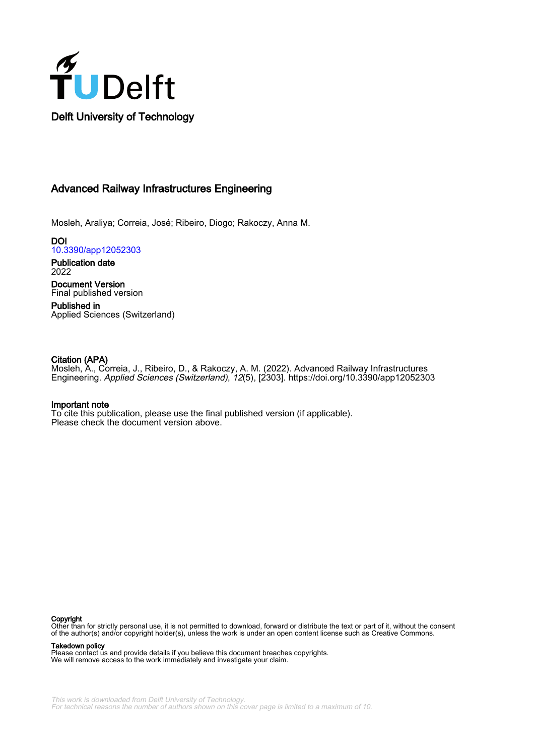

## Advanced Railway Infrastructures Engineering

Mosleh, Araliya; Correia, José; Ribeiro, Diogo; Rakoczy, Anna M.

**DOI** [10.3390/app12052303](https://doi.org/10.3390/app12052303)

Publication date 2022

Document Version Final published version

Published in Applied Sciences (Switzerland)

## Citation (APA)

Mosleh, A., Correia, J., Ribeiro, D., & Rakoczy, A. M. (2022). Advanced Railway Infrastructures Engineering. Applied Sciences (Switzerland), 12(5), [2303].<https://doi.org/10.3390/app12052303>

## Important note

To cite this publication, please use the final published version (if applicable). Please check the document version above.

#### Copyright

Other than for strictly personal use, it is not permitted to download, forward or distribute the text or part of it, without the consent of the author(s) and/or copyright holder(s), unless the work is under an open content license such as Creative Commons.

Takedown policy

Please contact us and provide details if you believe this document breaches copyrights. We will remove access to the work immediately and investigate your claim.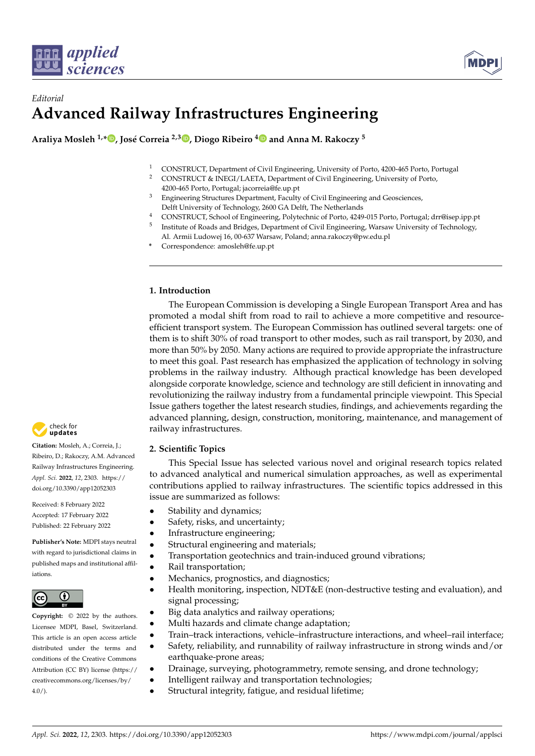



# *Editorial* **Advanced Railway Infrastructures Engineering**

**Araliya Mosleh 1,[\\*](https://orcid.org/0000-0001-6751-0388) , José Correia 2,3 [,](https://orcid.org/0000-0002-4148-9426) Diogo Ribeiro [4](https://orcid.org/0000-0001-8624-9904) and Anna M. Rakoczy <sup>5</sup>**

- <sup>1</sup> CONSTRUCT, Department of Civil Engineering, University of Porto, 4200-465 Porto, Portugal<br><sup>2</sup> CONSTRUCT & INECI (LAETA, Department of Civil Engineering, University of Porto,
- <sup>2</sup> CONSTRUCT & INEGI/LAETA, Department of Civil Engineering, University of Porto, 4200-465 Porto, Portugal; jacorreia@fe.up.pt
- <sup>3</sup> Engineering Structures Department, Faculty of Civil Engineering and Geosciences, Delft University of Technology, 2600 GA Delft, The Netherlands
- <sup>4</sup> CONSTRUCT, School of Engineering, Polytechnic of Porto, 4249-015 Porto, Portugal; drr@isep.ipp.pt 5 Institute of Roads and Bridges, Department of Civil Engineering, Warsaw University of Technology,
- Al. Armii Ludowej 16, 00-637 Warsaw, Poland; anna.rakoczy@pw.edu.pl
- **\*** Correspondence: amosleh@fe.up.pt

## **1. Introduction**

The European Commission is developing a Single European Transport Area and has promoted a modal shift from road to rail to achieve a more competitive and resourceefficient transport system. The European Commission has outlined several targets: one of them is to shift 30% of road transport to other modes, such as rail transport, by 2030, and more than 50% by 2050. Many actions are required to provide appropriate the infrastructure to meet this goal. Past research has emphasized the application of technology in solving problems in the railway industry. Although practical knowledge has been developed alongside corporate knowledge, science and technology are still deficient in innovating and revolutionizing the railway industry from a fundamental principle viewpoint. This Special Issue gathers together the latest research studies, findings, and achievements regarding the advanced planning, design, construction, monitoring, maintenance, and management of railway infrastructures.

## **2. Scientific Topics**

This Special Issue has selected various novel and original research topics related to advanced analytical and numerical simulation approaches, as well as experimental contributions applied to railway infrastructures. The scientific topics addressed in this issue are summarized as follows:

- Stability and dynamics;
- Safety, risks, and uncertainty;
- Infrastructure engineering;
- Structural engineering and materials;
- Transportation geotechnics and train-induced ground vibrations;
- Rail transportation;
- Mechanics, prognostics, and diagnostics;
- Health monitoring, inspection, NDT&E (non-destructive testing and evaluation), and signal processing;
- Big data analytics and railway operations;
- Multi hazards and climate change adaptation;
- Train–track interactions, vehicle–infrastructure interactions, and wheel–rail interface;
- Safety, reliability, and runnability of railway infrastructure in strong winds and/or earthquake-prone areas;
- Drainage, surveying, photogrammetry, remote sensing, and drone technology;
- Intelligent railway and transportation technologies;
- Structural integrity, fatigue, and residual lifetime;



**Citation:** Mosleh, A.; Correia, J.; Ribeiro, D.; Rakoczy, A.M. Advanced Railway Infrastructures Engineering. *Appl. Sci.* **2022**, *12*, 2303. [https://](https://doi.org/10.3390/app12052303) [doi.org/10.3390/app12052303](https://doi.org/10.3390/app12052303)

Received: 8 February 2022 Accepted: 17 February 2022 Published: 22 February 2022

**Publisher's Note:** MDPI stays neutral with regard to jurisdictional claims in published maps and institutional affiliations.



**Copyright:** © 2022 by the authors. Licensee MDPI, Basel, Switzerland. This article is an open access article distributed under the terms and conditions of the Creative Commons Attribution (CC BY) license [\(https://](https://creativecommons.org/licenses/by/4.0/) [creativecommons.org/licenses/by/](https://creativecommons.org/licenses/by/4.0/)  $4.0/$ ).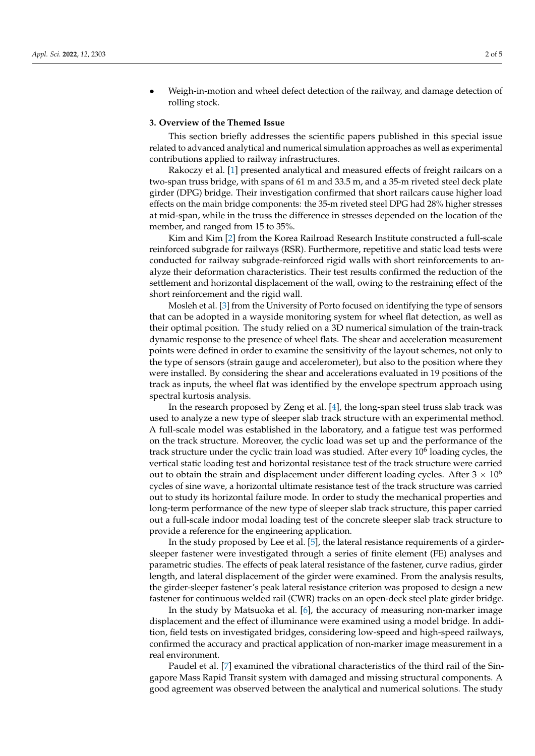• Weigh-in-motion and wheel defect detection of the railway, and damage detection of rolling stock.

#### **3. Overview of the Themed Issue**

This section briefly addresses the scientific papers published in this special issue related to advanced analytical and numerical simulation approaches as well as experimental contributions applied to railway infrastructures.

Rakoczy et al. [\[1\]](#page-4-0) presented analytical and measured effects of freight railcars on a two-span truss bridge, with spans of 61 m and 33.5 m, and a 35-m riveted steel deck plate girder (DPG) bridge. Their investigation confirmed that short railcars cause higher load effects on the main bridge components: the 35-m riveted steel DPG had 28% higher stresses at mid-span, while in the truss the difference in stresses depended on the location of the member, and ranged from 15 to 35%.

Kim and Kim [\[2\]](#page-4-1) from the Korea Railroad Research Institute constructed a full-scale reinforced subgrade for railways (RSR). Furthermore, repetitive and static load tests were conducted for railway subgrade-reinforced rigid walls with short reinforcements to analyze their deformation characteristics. Their test results confirmed the reduction of the settlement and horizontal displacement of the wall, owing to the restraining effect of the short reinforcement and the rigid wall.

Mosleh et al. [\[3\]](#page-4-2) from the University of Porto focused on identifying the type of sensors that can be adopted in a wayside monitoring system for wheel flat detection, as well as their optimal position. The study relied on a 3D numerical simulation of the train-track dynamic response to the presence of wheel flats. The shear and acceleration measurement points were defined in order to examine the sensitivity of the layout schemes, not only to the type of sensors (strain gauge and accelerometer), but also to the position where they were installed. By considering the shear and accelerations evaluated in 19 positions of the track as inputs, the wheel flat was identified by the envelope spectrum approach using spectral kurtosis analysis.

In the research proposed by Zeng et al. [\[4\]](#page-4-3), the long-span steel truss slab track was used to analyze a new type of sleeper slab track structure with an experimental method. A full-scale model was established in the laboratory, and a fatigue test was performed on the track structure. Moreover, the cyclic load was set up and the performance of the track structure under the cyclic train load was studied. After every  $10^6$  loading cycles, the vertical static loading test and horizontal resistance test of the track structure were carried out to obtain the strain and displacement under different loading cycles. After  $3 \times 10^6$ cycles of sine wave, a horizontal ultimate resistance test of the track structure was carried out to study its horizontal failure mode. In order to study the mechanical properties and long-term performance of the new type of sleeper slab track structure, this paper carried out a full-scale indoor modal loading test of the concrete sleeper slab track structure to provide a reference for the engineering application.

In the study proposed by Lee et al. [\[5\]](#page-4-4), the lateral resistance requirements of a girdersleeper fastener were investigated through a series of finite element (FE) analyses and parametric studies. The effects of peak lateral resistance of the fastener, curve radius, girder length, and lateral displacement of the girder were examined. From the analysis results, the girder-sleeper fastener's peak lateral resistance criterion was proposed to design a new fastener for continuous welded rail (CWR) tracks on an open-deck steel plate girder bridge.

In the study by Matsuoka et al. [\[6\]](#page-4-5), the accuracy of measuring non-marker image displacement and the effect of illuminance were examined using a model bridge. In addition, field tests on investigated bridges, considering low-speed and high-speed railways, confirmed the accuracy and practical application of non-marker image measurement in a real environment.

Paudel et al. [\[7\]](#page-4-6) examined the vibrational characteristics of the third rail of the Singapore Mass Rapid Transit system with damaged and missing structural components. A good agreement was observed between the analytical and numerical solutions. The study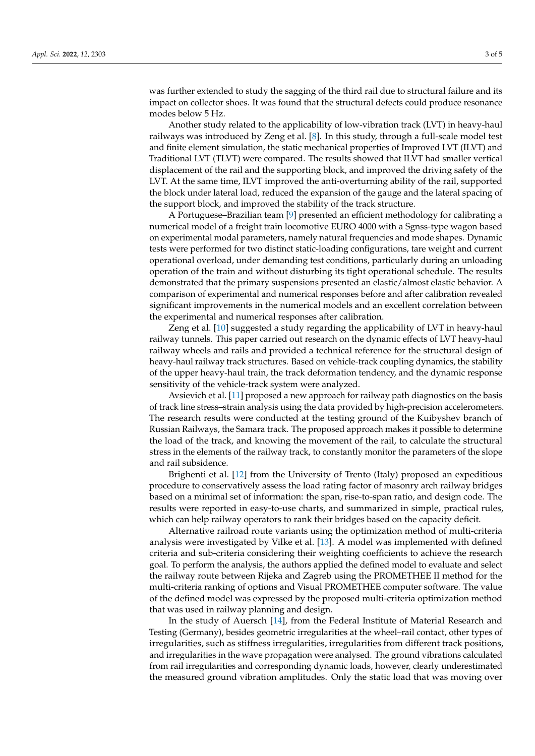was further extended to study the sagging of the third rail due to structural failure and its impact on collector shoes. It was found that the structural defects could produce resonance modes below 5 Hz.

Another study related to the applicability of low-vibration track (LVT) in heavy-haul railways was introduced by Zeng et al. [\[8\]](#page-4-7). In this study, through a full-scale model test and finite element simulation, the static mechanical properties of Improved LVT (ILVT) and Traditional LVT (TLVT) were compared. The results showed that ILVT had smaller vertical displacement of the rail and the supporting block, and improved the driving safety of the LVT. At the same time, ILVT improved the anti-overturning ability of the rail, supported the block under lateral load, reduced the expansion of the gauge and the lateral spacing of the support block, and improved the stability of the track structure.

A Portuguese–Brazilian team [\[9\]](#page-4-8) presented an efficient methodology for calibrating a numerical model of a freight train locomotive EURO 4000 with a Sgnss-type wagon based on experimental modal parameters, namely natural frequencies and mode shapes. Dynamic tests were performed for two distinct static-loading configurations, tare weight and current operational overload, under demanding test conditions, particularly during an unloading operation of the train and without disturbing its tight operational schedule. The results demonstrated that the primary suspensions presented an elastic/almost elastic behavior. A comparison of experimental and numerical responses before and after calibration revealed significant improvements in the numerical models and an excellent correlation between the experimental and numerical responses after calibration.

Zeng et al. [\[10\]](#page-4-9) suggested a study regarding the applicability of LVT in heavy-haul railway tunnels. This paper carried out research on the dynamic effects of LVT heavy-haul railway wheels and rails and provided a technical reference for the structural design of heavy-haul railway track structures. Based on vehicle-track coupling dynamics, the stability of the upper heavy-haul train, the track deformation tendency, and the dynamic response sensitivity of the vehicle-track system were analyzed.

Avsievich et al. [\[11\]](#page-5-0) proposed a new approach for railway path diagnostics on the basis of track line stress–strain analysis using the data provided by high-precision accelerometers. The research results were conducted at the testing ground of the Kuibyshev branch of Russian Railways, the Samara track. The proposed approach makes it possible to determine the load of the track, and knowing the movement of the rail, to calculate the structural stress in the elements of the railway track, to constantly monitor the parameters of the slope and rail subsidence.

Brighenti et al. [\[12\]](#page-5-1) from the University of Trento (Italy) proposed an expeditious procedure to conservatively assess the load rating factor of masonry arch railway bridges based on a minimal set of information: the span, rise-to-span ratio, and design code. The results were reported in easy-to-use charts, and summarized in simple, practical rules, which can help railway operators to rank their bridges based on the capacity deficit.

Alternative railroad route variants using the optimization method of multi-criteria analysis were investigated by Vilke et al. [\[13\]](#page-5-2). A model was implemented with defined criteria and sub-criteria considering their weighting coefficients to achieve the research goal. To perform the analysis, the authors applied the defined model to evaluate and select the railway route between Rijeka and Zagreb using the PROMETHEE II method for the multi-criteria ranking of options and Visual PROMETHEE computer software. The value of the defined model was expressed by the proposed multi-criteria optimization method that was used in railway planning and design.

In the study of Auersch [\[14\]](#page-5-3), from the Federal Institute of Material Research and Testing (Germany), besides geometric irregularities at the wheel–rail contact, other types of irregularities, such as stiffness irregularities, irregularities from different track positions, and irregularities in the wave propagation were analysed. The ground vibrations calculated from rail irregularities and corresponding dynamic loads, however, clearly underestimated the measured ground vibration amplitudes. Only the static load that was moving over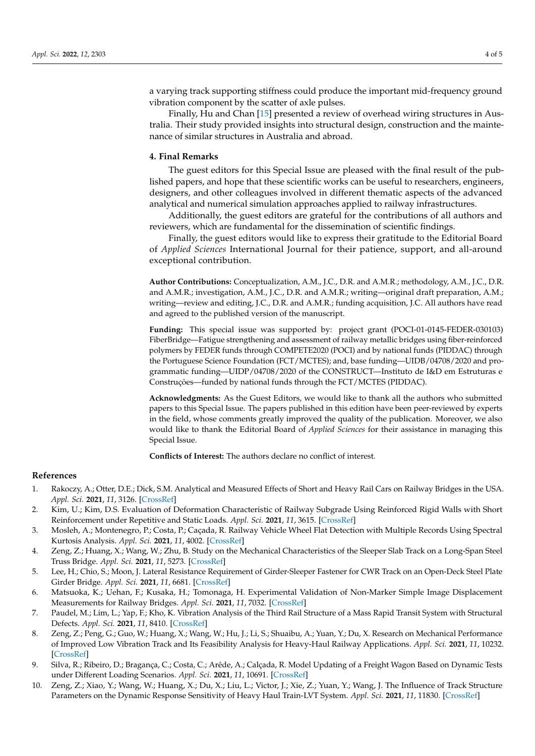a varying track supporting stiffness could produce the important mid-frequency ground vibration component by the scatter of axle pulses.

Finally, Hu and Chan [\[15\]](#page-5-4) presented a review of overhead wiring structures in Australia. Their study provided insights into structural design, construction and the maintenance of similar structures in Australia and abroad.

#### **4. Final Remarks**

The guest editors for this Special Issue are pleased with the final result of the published papers, and hope that these scientific works can be useful to researchers, engineers, designers, and other colleagues involved in different thematic aspects of the advanced analytical and numerical simulation approaches applied to railway infrastructures.

Additionally, the guest editors are grateful for the contributions of all authors and reviewers, which are fundamental for the dissemination of scientific findings.

Finally, the guest editors would like to express their gratitude to the Editorial Board of *Applied Sciences* International Journal for their patience, support, and all-around exceptional contribution.

**Author Contributions:** Conceptualization, A.M., J.C., D.R. and A.M.R.; methodology, A.M., J.C., D.R. and A.M.R.; investigation, A.M., J.C., D.R. and A.M.R.; writing—original draft preparation, A.M.; writing—review and editing, J.C., D.R. and A.M.R.; funding acquisition, J.C. All authors have read and agreed to the published version of the manuscript.

**Funding:** This special issue was supported by: project grant (POCI-01-0145-FEDER-030103) FiberBridge—Fatigue strengthening and assessment of railway metallic bridges using fiber-reinforced polymers by FEDER funds through COMPETE2020 (POCI) and by national funds (PIDDAC) through the Portuguese Science Foundation (FCT/MCTES); and, base funding—UIDB/04708/2020 and programmatic funding—UIDP/04708/2020 of the CONSTRUCT—Instituto de I&D em Estruturas e Construções—funded by national funds through the FCT/MCTES (PIDDAC).

**Acknowledgments:** As the Guest Editors, we would like to thank all the authors who submitted papers to this Special Issue. The papers published in this edition have been peer-reviewed by experts in the field, whose comments greatly improved the quality of the publication. Moreover, we also would like to thank the Editorial Board of *Applied Sciences* for their assistance in managing this Special Issue.

**Conflicts of Interest:** The authors declare no conflict of interest.

#### **References**

- <span id="page-4-0"></span>1. Rakoczy, A.; Otter, D.E.; Dick, S.M. Analytical and Measured Effects of Short and Heavy Rail Cars on Railway Bridges in the USA. *Appl. Sci.* **2021**, *11*, 3126. [\[CrossRef\]](http://doi.org/10.3390/app11073126)
- <span id="page-4-1"></span>2. Kim, U.; Kim, D.S. Evaluation of Deformation Characteristic of Railway Subgrade Using Reinforced Rigid Walls with Short Reinforcement under Repetitive and Static Loads. *Appl. Sci.* **2021**, *11*, 3615. [\[CrossRef\]](http://doi.org/10.3390/app11083615)
- <span id="page-4-2"></span>3. Mosleh, A.; Montenegro, P.; Costa, P.; Caçada, R. Railway Vehicle Wheel Flat Detection with Multiple Records Using Spectral Kurtosis Analysis. *Appl. Sci.* **2021**, *11*, 4002. [\[CrossRef\]](http://doi.org/10.3390/app11094002)
- <span id="page-4-3"></span>4. Zeng, Z.; Huang, X.; Wang, W.; Zhu, B. Study on the Mechanical Characteristics of the Sleeper Slab Track on a Long-Span Steel Truss Bridge. *Appl. Sci.* **2021**, *11*, 5273. [\[CrossRef\]](http://doi.org/10.3390/app11115273)
- <span id="page-4-4"></span>5. Lee, H.; Chio, S.; Moon, J. Lateral Resistance Requirement of Girder-Sleeper Fastener for CWR Track on an Open-Deck Steel Plate Girder Bridge. *Appl. Sci.* **2021**, *11*, 6681. [\[CrossRef\]](http://doi.org/10.3390/app11156681)
- <span id="page-4-5"></span>6. Matsuoka, K.; Uehan, F.; Kusaka, H.; Tomonaga, H. Experimental Validation of Non-Marker Simple Image Displacement Measurements for Railway Bridges. *Appl. Sci.* **2021**, *11*, 7032. [\[CrossRef\]](http://doi.org/10.3390/app11157032)
- <span id="page-4-6"></span>7. Paudel, M.; Lim, L.; Yap, F.; Kho, K. Vibration Analysis of the Third Rail Structure of a Mass Rapid Transit System with Structural Defects. *Appl. Sci.* **2021**, *11*, 8410. [\[CrossRef\]](http://doi.org/10.3390/app11188410)
- <span id="page-4-7"></span>8. Zeng, Z.; Peng, G.; Guo, W.; Huang, X.; Wang, W.; Hu, J.; Li, S.; Shuaibu, A.; Yuan, Y.; Du, X. Research on Mechanical Performance of Improved Low Vibration Track and Its Feasibility Analysis for Heavy-Haul Railway Applications. *Appl. Sci.* **2021**, *11*, 10232. [\[CrossRef\]](http://doi.org/10.3390/app112110232)
- <span id="page-4-8"></span>9. Silva, R.; Ribeiro, D.; Bragança, C.; Costa, C.; Arêde, A.; Calçada, R. Model Updating of a Freight Wagon Based on Dynamic Tests under Different Loading Scenarios. *Appl. Sci.* **2021**, *11*, 10691. [\[CrossRef\]](http://doi.org/10.3390/app112210691)
- <span id="page-4-9"></span>10. Zeng, Z.; Xiao, Y.; Wang, W.; Huang, X.; Du, X.; Liu, L.; Victor, J.; Xie, Z.; Yuan, Y.; Wang, J. The Influence of Track Structure Parameters on the Dynamic Response Sensitivity of Heavy Haul Train-LVT System. *Appl. Sci.* **2021**, *11*, 11830. [\[CrossRef\]](http://doi.org/10.3390/app112411830)